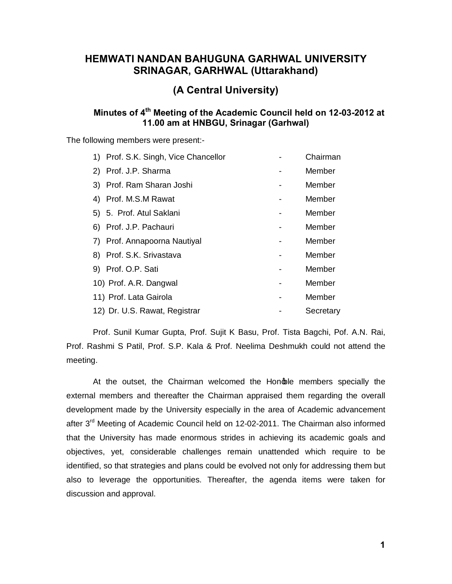## **HEMWATI NANDAN BAHUGUNA GARHWAL UNIVERSITY SRINAGAR, GARHWAL (Uttarakhand)**

# **(A Central University)**

## **Minutes of 4th Meeting of the Academic Council held on 12-03-2012 at 11.00 am at HNBGU, Srinagar (Garhwal)**

The following members were present:-

| 1) Prof. S.K. Singh, Vice Chancellor | Chairman  |
|--------------------------------------|-----------|
| 2) Prof. J.P. Sharma                 | Member    |
| 3) Prof. Ram Sharan Joshi            | Member    |
| 4) Prof. M.S.M Rawat                 | Member    |
| 5) 5. Prof. Atul Saklani             | Member    |
| 6) Prof. J.P. Pachauri               | Member    |
| 7) Prof. Annapoorna Nautiyal         | Member    |
| 8) Prof. S.K. Srivastava             | Member    |
| 9) Prof. O.P. Sati                   | Member    |
| 10) Prof. A.R. Dangwal               | Member    |
| 11) Prof. Lata Gairola               | Member    |
| 12) Dr. U.S. Rawat, Registrar        | Secretary |

Prof. Sunil Kumar Gupta, Prof. Sujit K Basu, Prof. Tista Bagchi, Pof. A.N. Rai, Prof. Rashmi S Patil, Prof. S.P. Kala & Prof. Neelima Deshmukh could not attend the meeting.

At the outset, the Chairman welcomed the Hondale members specially the external members and thereafter the Chairman appraised them regarding the overall development made by the University especially in the area of Academic advancement after 3<sup>rd</sup> Meeting of Academic Council held on 12-02-2011. The Chairman also informed that the University has made enormous strides in achieving its academic goals and objectives, yet, considerable challenges remain unattended which require to be identified, so that strategies and plans could be evolved not only for addressing them but also to leverage the opportunities. Thereafter, the agenda items were taken for discussion and approval.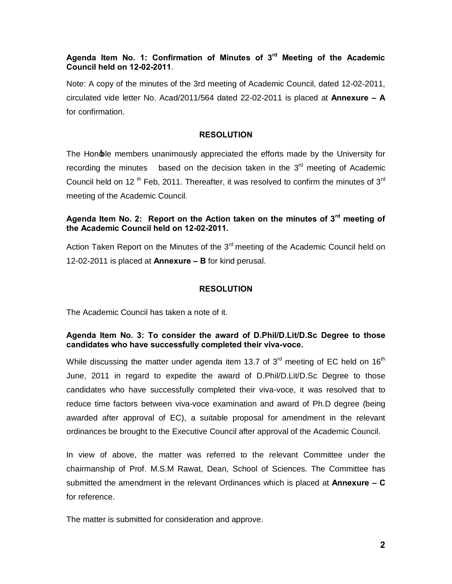## **Agenda Item No. 1: Confirmation of Minutes of 3rd Meeting of the Academic Council held on 12-02-2011**.

Note: A copy of the minutes of the 3rd meeting of Academic Council, dated 12-02-2011, circulated vide letter No. Acad/2011/564 dated 22-02-2011 is placed at **Annexure – A**  for confirmation.

### **RESOLUTION**

The Hon $\phi$ le members unanimously appreciated the efforts made by the University for recording the minutes based on the decision taken in the  $3<sup>rd</sup>$  meeting of Academic Council held on 12<sup>th</sup> Feb, 2011. Thereafter, it was resolved to confirm the minutes of 3<sup>rd</sup> meeting of the Academic Council.

## **Agenda Item No. 2: Report on the Action taken on the minutes of 3rd meeting of the Academic Council held on 12-02-2011.**

Action Taken Report on the Minutes of the  $3<sup>rd</sup>$  meeting of the Academic Council held on 12-02-2011 is placed at **Annexure – B** for kind perusal.

## **RESOLUTION**

The Academic Council has taken a note of it.

## **Agenda Item No. 3: To consider the award of D.Phil/D.Lit/D.Sc Degree to those candidates who have successfully completed their viva-voce.**

While discussing the matter under agenda item 13.7 of  $3<sup>rd</sup>$  meeting of EC held on  $16<sup>th</sup>$ June, 2011 in regard to expedite the award of D.Phil/D.Lit/D.Sc Degree to those candidates who have successfully completed their viva-voce, it was resolved that to reduce time factors between viva-voce examination and award of Ph.D degree (being awarded after approval of EC), a suitable proposal for amendment in the relevant ordinances be brought to the Executive Council after approval of the Academic Council.

In view of above, the matter was referred to the relevant Committee under the chairmanship of Prof. M.S.M Rawat, Dean, School of Sciences. The Committee has submitted the amendment in the relevant Ordinances which is placed at **Annexure – C** for reference.

The matter is submitted for consideration and approve.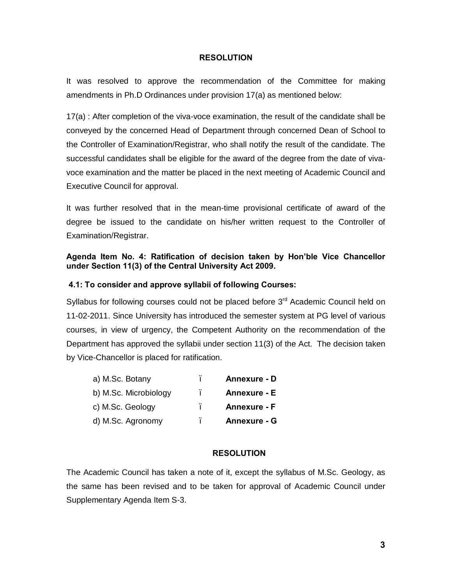#### **RESOLUTION**

It was resolved to approve the recommendation of the Committee for making amendments in Ph.D Ordinances under provision 17(a) as mentioned below:

17(a) : After completion of the viva-voce examination, the result of the candidate shall be conveyed by the concerned Head of Department through concerned Dean of School to the Controller of Examination/Registrar, who shall notify the result of the candidate. The successful candidates shall be eligible for the award of the degree from the date of vivavoce examination and the matter be placed in the next meeting of Academic Council and Executive Council for approval.

It was further resolved that in the mean-time provisional certificate of award of the degree be issued to the candidate on his/her written request to the Controller of Examination/Registrar.

## **Agenda Item No. 4: Ratification of decision taken by Hon'ble Vice Chancellor under Section 11(3) of the Central University Act 2009.**

## **4.1: To consider and approve syllabii of following Courses:**

Syllabus for following courses could not be placed before 3<sup>rd</sup> Academic Council held on 11-02-2011. Since University has introduced the semester system at PG level of various courses, in view of urgency, the Competent Authority on the recommendation of the Department has approved the syllabii under section 11(3) of the Act. The decision taken by Vice-Chancellor is placed for ratification.

| a) M.Sc. Botany       | ٠ | <b>Annexure - D</b> |
|-----------------------|---|---------------------|
| b) M.Sc. Microbiology |   | Annexure - E        |
| c) M.Sc. Geology      |   | <b>Annexure - F</b> |
| d) M.Sc. Agronomy     | ۰ | Annexure - G        |

## **RESOLUTION**

The Academic Council has taken a note of it, except the syllabus of M.Sc. Geology, as the same has been revised and to be taken for approval of Academic Council under Supplementary Agenda Item S-3.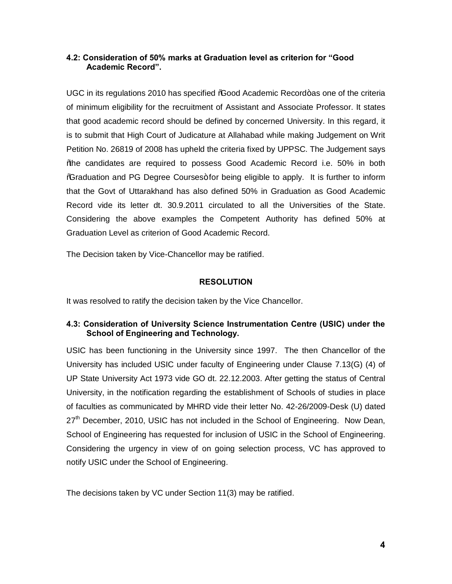## **4.2: Consideration of 50% marks at Graduation level as criterion for "Good Academic Record".**

UGC in its regulations 2010 has specified *"*Good Academic Record+as one of the criteria of minimum eligibility for the recruitment of Assistant and Associate Professor. It states that good academic record should be defined by concerned University. In this regard, it is to submit that High Court of Judicature at Allahabad while making Judgement on Writ Petition No. 26819 of 2008 has upheld the criteria fixed by UPPSC. The Judgement says "the candidates are required to possess Good Academic Record i.e. 50% in both %Graduation and PG Degree Courses+for being eligible to apply. It is further to inform that the Govt of Uttarakhand has also defined 50% in Graduation as Good Academic Record vide its letter dt. 30.9.2011 circulated to all the Universities of the State. Considering the above examples the Competent Authority has defined 50% at Graduation Level as criterion of Good Academic Record.

The Decision taken by Vice-Chancellor may be ratified.

## **RESOLUTION**

It was resolved to ratify the decision taken by the Vice Chancellor.

## **4.3: Consideration of University Science Instrumentation Centre (USIC) under the School of Engineering and Technology.**

USIC has been functioning in the University since 1997. The then Chancellor of the University has included USIC under faculty of Engineering under Clause 7.13(G) (4) of UP State University Act 1973 vide GO dt. 22.12.2003. After getting the status of Central University, in the notification regarding the establishment of Schools of studies in place of faculties as communicated by MHRD vide their letter No. 42-26/2009-Desk (U) dated  $27<sup>th</sup>$  December, 2010, USIC has not included in the School of Engineering. Now Dean, School of Engineering has requested for inclusion of USIC in the School of Engineering. Considering the urgency in view of on going selection process, VC has approved to notify USIC under the School of Engineering.

The decisions taken by VC under Section 11(3) may be ratified.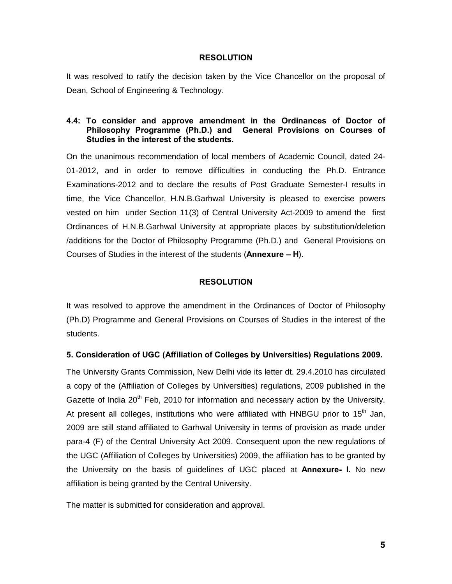#### **RESOLUTION**

It was resolved to ratify the decision taken by the Vice Chancellor on the proposal of Dean, School of Engineering & Technology.

## **4.4: To consider and approve amendment in the Ordinances of Doctor of Philosophy Programme (Ph.D.) and General Provisions on Courses of Studies in the interest of the students.**

On the unanimous recommendation of local members of Academic Council, dated 24- 01-2012, and in order to remove difficulties in conducting the Ph.D. Entrance Examinations-2012 and to declare the results of Post Graduate Semester-I results in time, the Vice Chancellor, H.N.B.Garhwal University is pleased to exercise powers vested on him under Section 11(3) of Central University Act-2009 to amend the first Ordinances of H.N.B.Garhwal University at appropriate places by substitution/deletion /additions for the Doctor of Philosophy Programme (Ph.D.) and General Provisions on Courses of Studies in the interest of the students (**Annexure – H**).

#### **RESOLUTION**

It was resolved to approve the amendment in the Ordinances of Doctor of Philosophy (Ph.D) Programme and General Provisions on Courses of Studies in the interest of the students.

## **5. Consideration of UGC (Affiliation of Colleges by Universities) Regulations 2009.**

The University Grants Commission, New Delhi vide its letter dt. 29.4.2010 has circulated a copy of the (Affiliation of Colleges by Universities) regulations, 2009 published in the Gazette of India  $20<sup>th</sup>$  Feb, 2010 for information and necessary action by the University. At present all colleges, institutions who were affiliated with HNBGU prior to 15<sup>th</sup> Jan, 2009 are still stand affiliated to Garhwal University in terms of provision as made under para-4 (F) of the Central University Act 2009. Consequent upon the new regulations of the UGC (Affiliation of Colleges by Universities) 2009, the affiliation has to be granted by the University on the basis of guidelines of UGC placed at **Annexure- I.** No new affiliation is being granted by the Central University.

The matter is submitted for consideration and approval.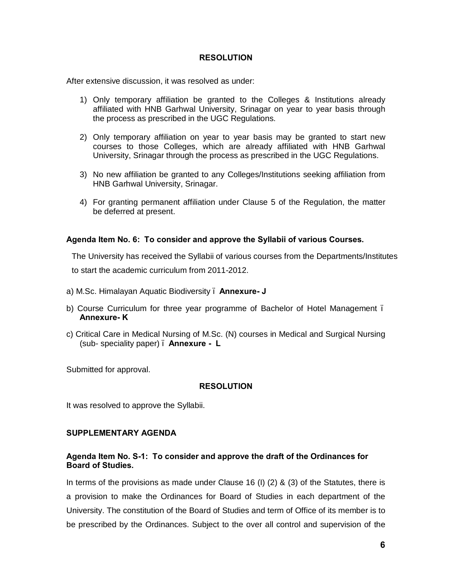#### **RESOLUTION**

After extensive discussion, it was resolved as under:

- 1) Only temporary affiliation be granted to the Colleges & Institutions already affiliated with HNB Garhwal University, Srinagar on year to year basis through the process as prescribed in the UGC Regulations.
- 2) Only temporary affiliation on year to year basis may be granted to start new courses to those Colleges, which are already affiliated with HNB Garhwal University, Srinagar through the process as prescribed in the UGC Regulations.
- 3) No new affiliation be granted to any Colleges/Institutions seeking affiliation from HNB Garhwal University, Srinagar.
- 4) For granting permanent affiliation under Clause 5 of the Regulation, the matter be deferred at present.

#### **Agenda Item No. 6: To consider and approve the Syllabii of various Courses.**

The University has received the Syllabii of various courses from the Departments/Institutes to start the academic curriculum from 2011-2012.

- a) M.Sc. Himalayan Aquatic Biodiversity **Annexure- J**
- b) Course Curriculum for three year programme of Bachelor of Hotel Management **Annexure- K**
- c) Critical Care in Medical Nursing of M.Sc. (N) courses in Medical and Surgical Nursing (sub- speciality paper) – **Annexure - L**

Submitted for approval.

#### **RESOLUTION**

It was resolved to approve the Syllabii.

#### **SUPPLEMENTARY AGENDA**

## **Agenda Item No. S-1: To consider and approve the draft of the Ordinances for Board of Studies.**

In terms of the provisions as made under Clause 16 (I) (2) & (3) of the Statutes, there is a provision to make the Ordinances for Board of Studies in each department of the University. The constitution of the Board of Studies and term of Office of its member is to be prescribed by the Ordinances. Subject to the over all control and supervision of the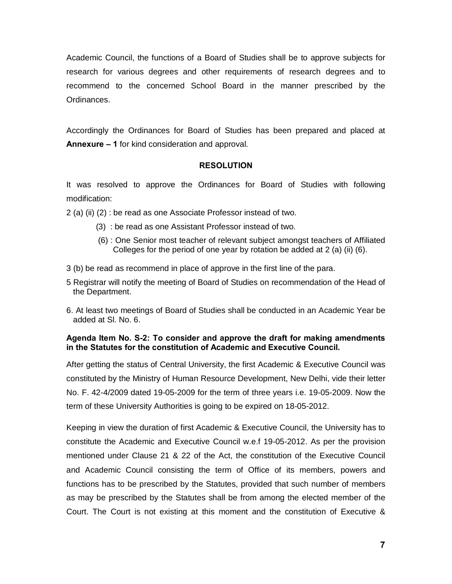Academic Council, the functions of a Board of Studies shall be to approve subjects for research for various degrees and other requirements of research degrees and to recommend to the concerned School Board in the manner prescribed by the Ordinances.

Accordingly the Ordinances for Board of Studies has been prepared and placed at **Annexure – 1** for kind consideration and approval.

#### **RESOLUTION**

It was resolved to approve the Ordinances for Board of Studies with following modification:

2 (a) (ii) (2) : be read as one Associate Professor instead of two.

- (3) : be read as one Assistant Professor instead of two.
- (6) : One Senior most teacher of relevant subject amongst teachers of Affiliated Colleges for the period of one year by rotation be added at 2 (a) (ii) (6).
- 3 (b) be read as recommend in place of approve in the first line of the para.
- 5 Registrar will notify the meeting of Board of Studies on recommendation of the Head of the Department.
- 6. At least two meetings of Board of Studies shall be conducted in an Academic Year be added at Sl. No. 6.

## **Agenda Item No. S-2: To consider and approve the draft for making amendments in the Statutes for the constitution of Academic and Executive Council.**

After getting the status of Central University, the first Academic & Executive Council was constituted by the Ministry of Human Resource Development, New Delhi, vide their letter No. F. 42-4/2009 dated 19-05-2009 for the term of three years i.e. 19-05-2009. Now the term of these University Authorities is going to be expired on 18-05-2012.

Keeping in view the duration of first Academic & Executive Council, the University has to constitute the Academic and Executive Council w.e.f 19-05-2012. As per the provision mentioned under Clause 21 & 22 of the Act, the constitution of the Executive Council and Academic Council consisting the term of Office of its members, powers and functions has to be prescribed by the Statutes, provided that such number of members as may be prescribed by the Statutes shall be from among the elected member of the Court. The Court is not existing at this moment and the constitution of Executive &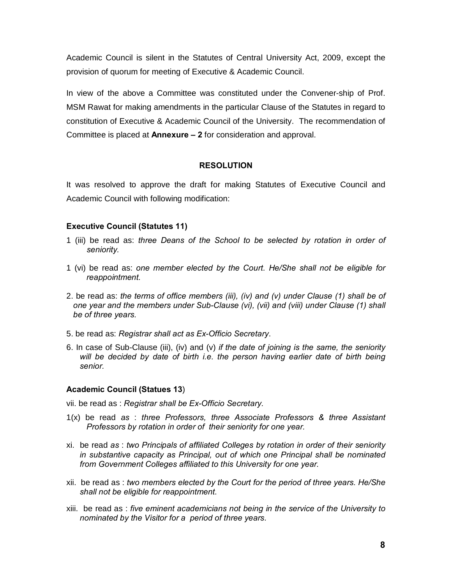Academic Council is silent in the Statutes of Central University Act, 2009, except the provision of quorum for meeting of Executive & Academic Council.

In view of the above a Committee was constituted under the Convener-ship of Prof. MSM Rawat for making amendments in the particular Clause of the Statutes in regard to constitution of Executive & Academic Council of the University. The recommendation of Committee is placed at **Annexure – 2** for consideration and approval.

## **RESOLUTION**

It was resolved to approve the draft for making Statutes of Executive Council and Academic Council with following modification:

## **Executive Council (Statutes 11)**

- 1 (iii) be read as: *three Deans of the School to be selected by rotation in order of seniority.*
- 1 (vi) be read as: *one member elected by the Court. He/She shall not be eligible for reappointment.*
- 2. be read as: *the terms of office members (iii), (iv) and (v) under Clause (1) shall be of one year and the members under Sub-Clause (vi), (vii) and (viii) under Clause (1) shall be of three years.*
- 5. be read as: *Registrar shall act as Ex-Officio Secretary*.
- 6. In case of Sub-Clause (iii), (iv) and (v) *if the date of joining is the same, the seniority will be decided by date of birth i.e. the person having earlier date of birth being senior.*

## **Academic Council (Statues 13**)

vii. be read as : *Registrar shall be Ex-Officio Secretary.*

- 1(x) be read *as* : *three Professors, three Associate Professors & three Assistant Professors by rotation in order of their seniority for one year.*
- xi. be read *as* : *two Principals of affiliated Colleges by rotation in order of their seniority in substantive capacity as Principal, out of which one Principal shall be nominated from Government Colleges affiliated to this University for one year.*
- xii. be read as : *two members elected by the Court for the period of three years. He/She shall not be eligible for reappointment*.
- xiii. be read as : *five eminent academicians not being in the service of the University to nominated by the Visitor for a period of three years*.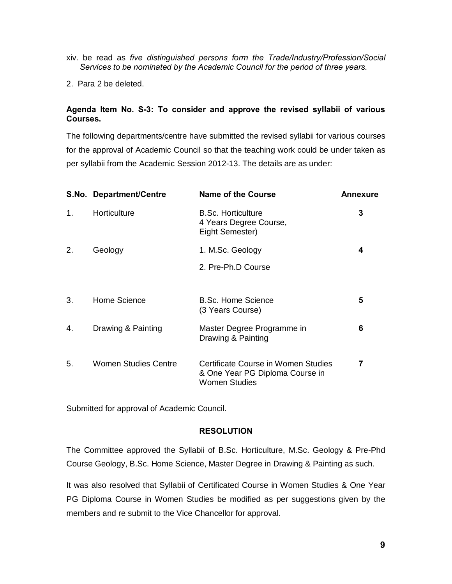- xiv. be read as *five distinguished persons form the Trade/Industry/Profession/Social Services to be nominated by the Academic Council for the period of three years.*
- 2. Para 2 be deleted.

## **Agenda Item No. S-3: To consider and approve the revised syllabii of various Courses.**

The following departments/centre have submitted the revised syllabii for various courses for the approval of Academic Council so that the teaching work could be under taken as per syllabii from the Academic Session 2012-13. The details are as under:

|    | S.No. Department/Centre | <b>Name of the Course</b>                                                                      | Annexure |
|----|-------------------------|------------------------------------------------------------------------------------------------|----------|
| 1. | Horticulture            | <b>B.Sc. Horticulture</b><br>4 Years Degree Course,<br>Eight Semester)                         | 3        |
| 2. | Geology                 | 1. M.Sc. Geology                                                                               | 4        |
|    |                         | 2. Pre-Ph.D Course                                                                             |          |
| 3. | Home Science            | <b>B.Sc. Home Science</b><br>(3 Years Course)                                                  | 5        |
| 4. | Drawing & Painting      | Master Degree Programme in<br>Drawing & Painting                                               | 6        |
| 5. | Women Studies Centre    | Certificate Course in Women Studies<br>& One Year PG Diploma Course in<br><b>Women Studies</b> | 7        |

Submitted for approval of Academic Council.

## **RESOLUTION**

The Committee approved the Syllabii of B.Sc. Horticulture, M.Sc. Geology & Pre-Phd Course Geology, B.Sc. Home Science, Master Degree in Drawing & Painting as such.

It was also resolved that Syllabii of Certificated Course in Women Studies & One Year PG Diploma Course in Women Studies be modified as per suggestions given by the members and re submit to the Vice Chancellor for approval.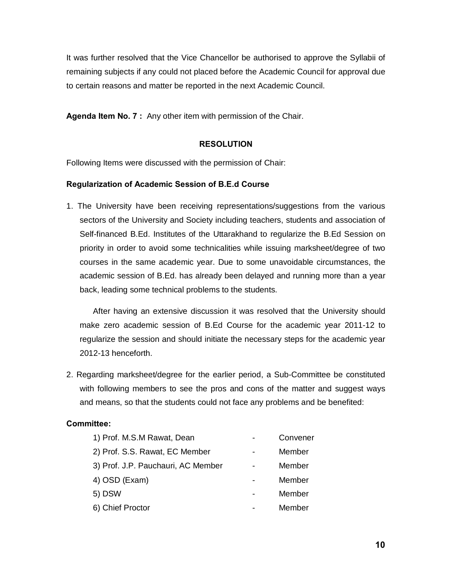It was further resolved that the Vice Chancellor be authorised to approve the Syllabii of remaining subjects if any could not placed before the Academic Council for approval due to certain reasons and matter be reported in the next Academic Council.

**Agenda Item No. 7 :** Any other item with permission of the Chair.

## **RESOLUTION**

Following Items were discussed with the permission of Chair:

## **Regularization of Academic Session of B.E.d Course**

1. The University have been receiving representations/suggestions from the various sectors of the University and Society including teachers, students and association of Self-financed B.Ed. Institutes of the Uttarakhand to regularize the B.Ed Session on priority in order to avoid some technicalities while issuing marksheet/degree of two courses in the same academic year. Due to some unavoidable circumstances, the academic session of B.Ed. has already been delayed and running more than a year back, leading some technical problems to the students.

After having an extensive discussion it was resolved that the University should make zero academic session of B.Ed Course for the academic year 2011-12 to regularize the session and should initiate the necessary steps for the academic year 2012-13 henceforth.

2. Regarding marksheet/degree for the earlier period, a Sub-Committee be constituted with following members to see the pros and cons of the matter and suggest ways and means, so that the students could not face any problems and be benefited:

## **Committee:**

| 1) Prof. M.S.M Rawat, Dean         | Convener |
|------------------------------------|----------|
| 2) Prof. S.S. Rawat, EC Member     | Member   |
| 3) Prof. J.P. Pauchauri, AC Member | Member   |
| 4) OSD (Exam)                      | Member   |
| 5) DSW                             | Member   |
| 6) Chief Proctor                   | Member   |